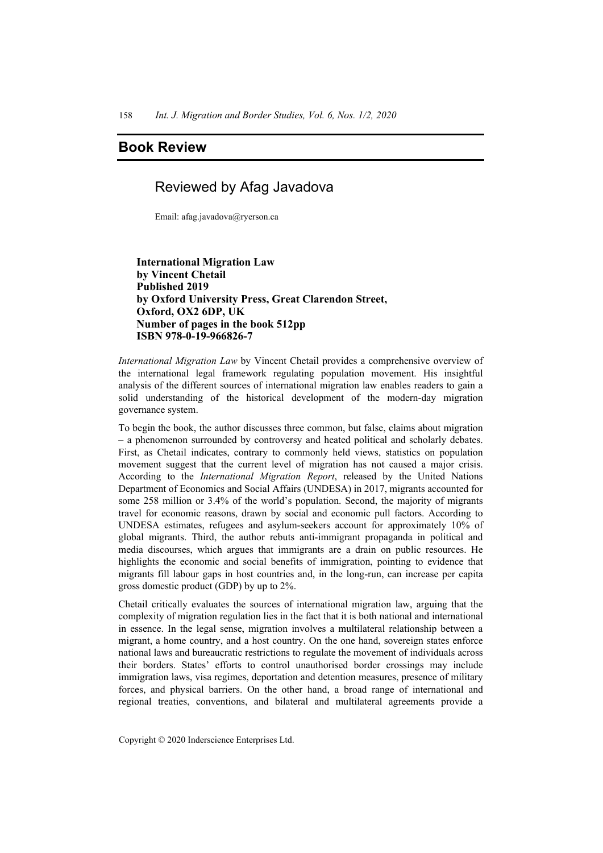## **Book Review**

## Reviewed by Afag Javadova

Email: afag.javadova@ryerson.ca

 **International Migration Law by Vincent Chetail Published 2019 by Oxford University Press, Great Clarendon Street, Oxford, OX2 6DP, UK Number of pages in the book 512pp ISBN 978-0-19-966826-7** 

*International Migration Law* by Vincent Chetail provides a comprehensive overview of the international legal framework regulating population movement. His insightful analysis of the different sources of international migration law enables readers to gain a solid understanding of the historical development of the modern-day migration governance system.

To begin the book, the author discusses three common, but false, claims about migration – a phenomenon surrounded by controversy and heated political and scholarly debates. First, as Chetail indicates, contrary to commonly held views, statistics on population movement suggest that the current level of migration has not caused a major crisis. According to the *International Migration Report*, released by the United Nations Department of Economics and Social Affairs (UNDESA) in 2017, migrants accounted for some 258 million or 3.4% of the world's population. Second, the majority of migrants travel for economic reasons, drawn by social and economic pull factors. According to UNDESA estimates, refugees and asylum-seekers account for approximately 10% of global migrants. Third, the author rebuts anti-immigrant propaganda in political and media discourses, which argues that immigrants are a drain on public resources. He highlights the economic and social benefits of immigration, pointing to evidence that migrants fill labour gaps in host countries and, in the long-run, can increase per capita gross domestic product (GDP) by up to 2%.

Chetail critically evaluates the sources of international migration law, arguing that the complexity of migration regulation lies in the fact that it is both national and international in essence. In the legal sense, migration involves a multilateral relationship between a migrant, a home country, and a host country. On the one hand, sovereign states enforce national laws and bureaucratic restrictions to regulate the movement of individuals across their borders. States' efforts to control unauthorised border crossings may include immigration laws, visa regimes, deportation and detention measures, presence of military forces, and physical barriers. On the other hand, a broad range of international and regional treaties, conventions, and bilateral and multilateral agreements provide a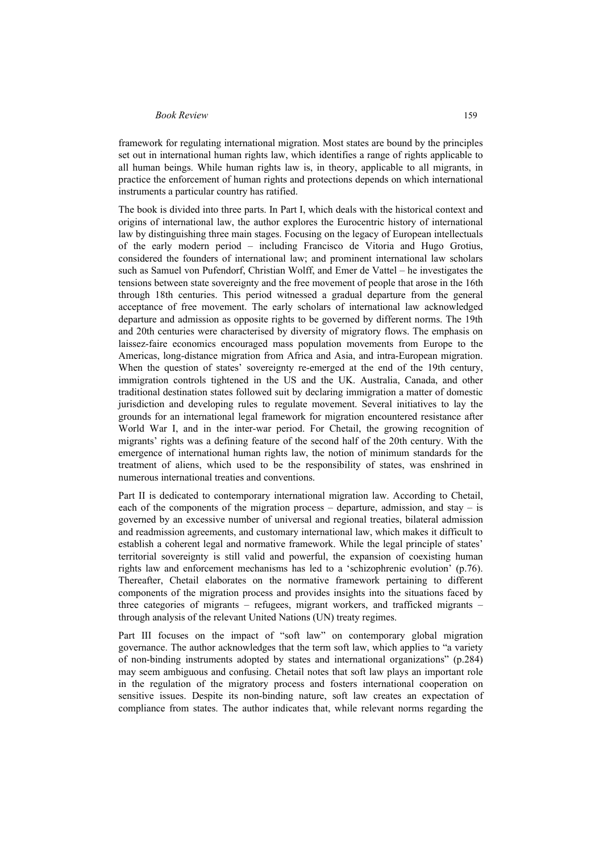framework for regulating international migration. Most states are bound by the principles set out in international human rights law, which identifies a range of rights applicable to all human beings. While human rights law is, in theory, applicable to all migrants, in practice the enforcement of human rights and protections depends on which international instruments a particular country has ratified.

The book is divided into three parts. In Part I, which deals with the historical context and origins of international law, the author explores the Eurocentric history of international law by distinguishing three main stages. Focusing on the legacy of European intellectuals of the early modern period – including Francisco de Vitoria and Hugo Grotius, considered the founders of international law; and prominent international law scholars such as Samuel von Pufendorf, Christian Wolff, and Emer de Vattel – he investigates the tensions between state sovereignty and the free movement of people that arose in the 16th through 18th centuries. This period witnessed a gradual departure from the general acceptance of free movement. The early scholars of international law acknowledged departure and admission as opposite rights to be governed by different norms. The 19th and 20th centuries were characterised by diversity of migratory flows. The emphasis on laissez-faire economics encouraged mass population movements from Europe to the Americas, long-distance migration from Africa and Asia, and intra-European migration. When the question of states' sovereignty re-emerged at the end of the 19th century, immigration controls tightened in the US and the UK. Australia, Canada, and other traditional destination states followed suit by declaring immigration a matter of domestic jurisdiction and developing rules to regulate movement. Several initiatives to lay the grounds for an international legal framework for migration encountered resistance after World War I, and in the inter-war period. For Chetail, the growing recognition of migrants' rights was a defining feature of the second half of the 20th century. With the emergence of international human rights law, the notion of minimum standards for the treatment of aliens, which used to be the responsibility of states, was enshrined in numerous international treaties and conventions.

Part II is dedicated to contemporary international migration law. According to Chetail, each of the components of the migration process – departure, admission, and stay – is governed by an excessive number of universal and regional treaties, bilateral admission and readmission agreements, and customary international law, which makes it difficult to establish a coherent legal and normative framework. While the legal principle of states' territorial sovereignty is still valid and powerful, the expansion of coexisting human rights law and enforcement mechanisms has led to a 'schizophrenic evolution' (p.76). Thereafter, Chetail elaborates on the normative framework pertaining to different components of the migration process and provides insights into the situations faced by three categories of migrants – refugees, migrant workers, and trafficked migrants – through analysis of the relevant United Nations (UN) treaty regimes.

Part III focuses on the impact of "soft law" on contemporary global migration governance. The author acknowledges that the term soft law, which applies to "a variety of non-binding instruments adopted by states and international organizations" (p.284) may seem ambiguous and confusing. Chetail notes that soft law plays an important role in the regulation of the migratory process and fosters international cooperation on sensitive issues. Despite its non-binding nature, soft law creates an expectation of compliance from states. The author indicates that, while relevant norms regarding the